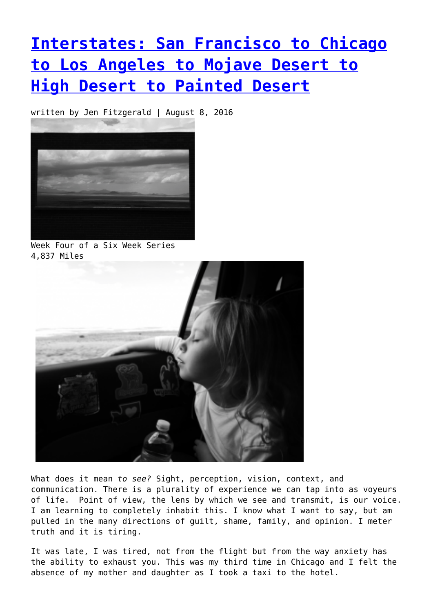# **[Interstates: San Francisco to Chicago](https://entropymag.org/interstates-san-francisco-to-chicago-to-los-angeles-to-mojave-desert-to-high-desert-to-painted-desert/) [to Los Angeles to Mojave Desert to](https://entropymag.org/interstates-san-francisco-to-chicago-to-los-angeles-to-mojave-desert-to-high-desert-to-painted-desert/) [High Desert to Painted Desert](https://entropymag.org/interstates-san-francisco-to-chicago-to-los-angeles-to-mojave-desert-to-high-desert-to-painted-desert/)**

written by Jen Fitzgerald | August 8, 2016



Week Four of a Six Week Series 4,837 Miles



What does it mean *to see?* Sight, perception, vision, context, and communication. There is a plurality of experience we can tap into as voyeurs of life. Point of view, the lens by which we see and transmit, is our voice. I am learning to completely inhabit this. I know what I want to say, but am pulled in the many directions of guilt, shame, family, and opinion. I meter truth and it is tiring.

It was late, I was tired, not from the flight but from the way anxiety has the ability to exhaust you. This was my third time in Chicago and I felt the absence of my mother and daughter as I took a taxi to the hotel.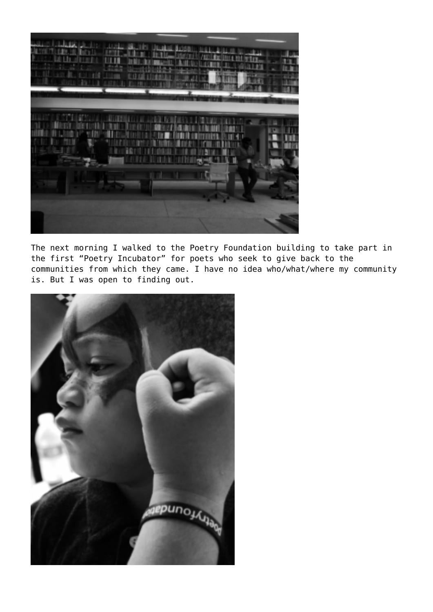

The next morning I walked to the Poetry Foundation building to take part in the first "Poetry Incubator" for poets who seek to give back to the communities from which they came. I have no idea who/what/where my community is. But I was open to finding out.

![](_page_1_Picture_2.jpeg)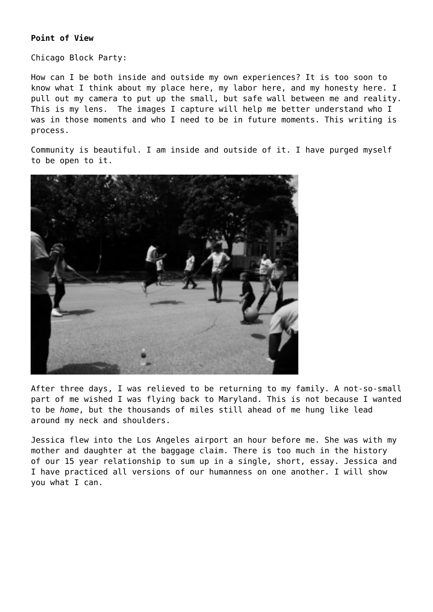Chicago Block Party:

How can I be both inside and outside my own experiences? It is too soon to know what I think about my place here, my labor here, and my honesty here. I pull out my camera to put up the small, but safe wall between me and reality. This is my lens. The images I capture will help me better understand who I was in those moments and who I need to be in future moments. This writing is process.

Community is beautiful. I am inside and outside of it. I have purged myself to be open to it.

![](_page_2_Picture_4.jpeg)

After three days, I was relieved to be returning to my family. A not-so-small part of me wished I was flying back to Maryland. This is not because I wanted to be *home*, but the thousands of miles still ahead of me hung like lead around my neck and shoulders.

Jessica flew into the Los Angeles airport an hour before me. She was with my mother and daughter at the baggage claim. There is too much in the history of our 15 year relationship to sum up in a single, short, essay. Jessica and I have practiced all versions of our humanness on one another. I will show you what I can.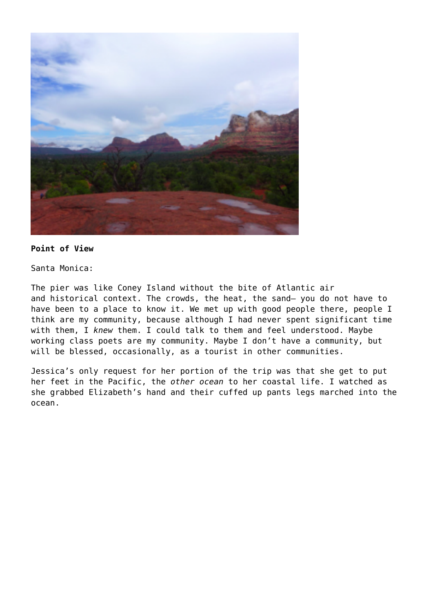![](_page_3_Picture_0.jpeg)

Santa Monica:

The pier was like Coney Island without the bite of Atlantic air and historical context. The crowds, the heat, the sand— you do not have to have been to a place to know it. We met up with good people there, people I think are my community, because although I had never spent significant time with them, I *knew* them. I could talk to them and feel understood. Maybe working class poets are my community. Maybe I don't have a community, but will be blessed, occasionally, as a tourist in other communities.

Jessica's only request for her portion of the trip was that she get to put her feet in the Pacific, the *other ocean* to her coastal life. I watched as she grabbed Elizabeth's hand and their cuffed up pants legs marched into the ocean.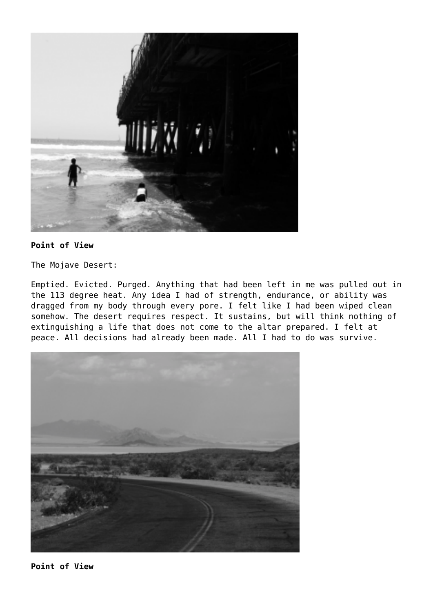![](_page_4_Picture_0.jpeg)

The Mojave Desert:

Emptied. Evicted. Purged. Anything that had been left in me was pulled out in the 113 degree heat. Any idea I had of strength, endurance, or ability was dragged from my body through every pore. I felt like I had been wiped clean somehow. The desert requires respect. It sustains, but will think nothing of extinguishing a life that does not come to the altar prepared. I felt at peace. All decisions had already been made. All I had to do was survive.

![](_page_4_Picture_4.jpeg)

**Point of View**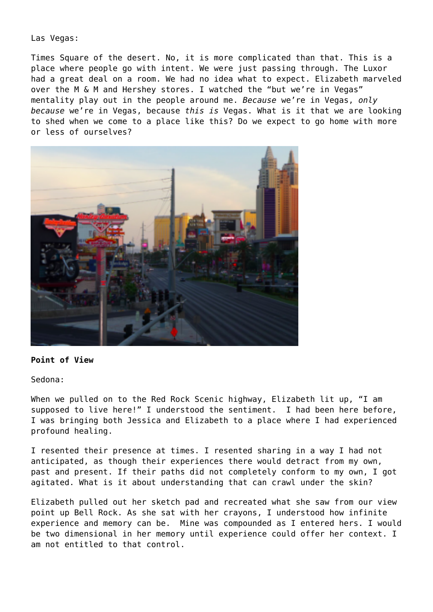Las Vegas:

Times Square of the desert. No, it is more complicated than that. This is a place where people go with intent. We were just passing through. The Luxor had a great deal on a room. We had no idea what to expect. Elizabeth marveled over the M & M and Hershey stores. I watched the "but we're in Vegas" mentality play out in the people around me. *Because* we're in Vegas, *only because* we're in Vegas, because *this is* Vegas. What is it that we are looking to shed when we come to a place like this? Do we expect to go home with more or less of ourselves?

![](_page_5_Picture_2.jpeg)

#### **Point of View**

Sedona:

When we pulled on to the Red Rock Scenic highway, Elizabeth lit up, "I am supposed to live here!" I understood the sentiment. I had been here before, I was bringing both Jessica and Elizabeth to a place where I had experienced profound healing.

I resented their presence at times. I resented sharing in a way I had not anticipated, as though their experiences there would detract from my own, past and present. If their paths did not completely conform to my own, I got agitated. What is it about understanding that can crawl under the skin?

Elizabeth pulled out her sketch pad and recreated what she saw from our view point up Bell Rock. As she sat with her crayons, I understood how infinite experience and memory can be. Mine was compounded as I entered hers. I would be two dimensional in her memory until experience could offer her context. I am not entitled to that control.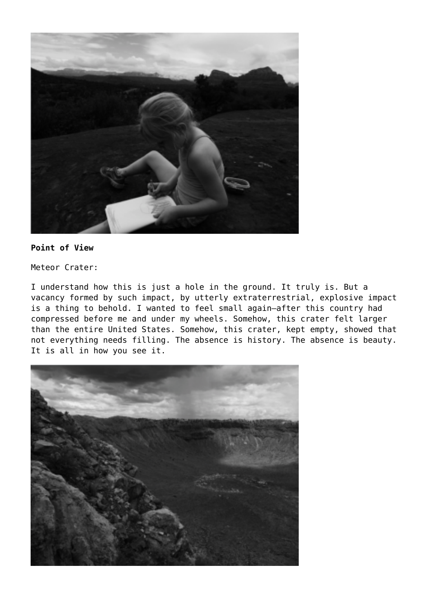![](_page_6_Picture_0.jpeg)

Meteor Crater:

I understand how this is just a hole in the ground. It truly is. But a vacancy formed by such impact, by utterly extraterrestrial, explosive impact is a thing to behold. I wanted to feel small again—after this country had compressed before me and under my wheels. Somehow, this crater felt larger than the entire United States. Somehow, this crater, kept empty, showed that not everything needs filling. The absence is history. The absence is beauty. It is all in how you see it.

![](_page_6_Picture_4.jpeg)